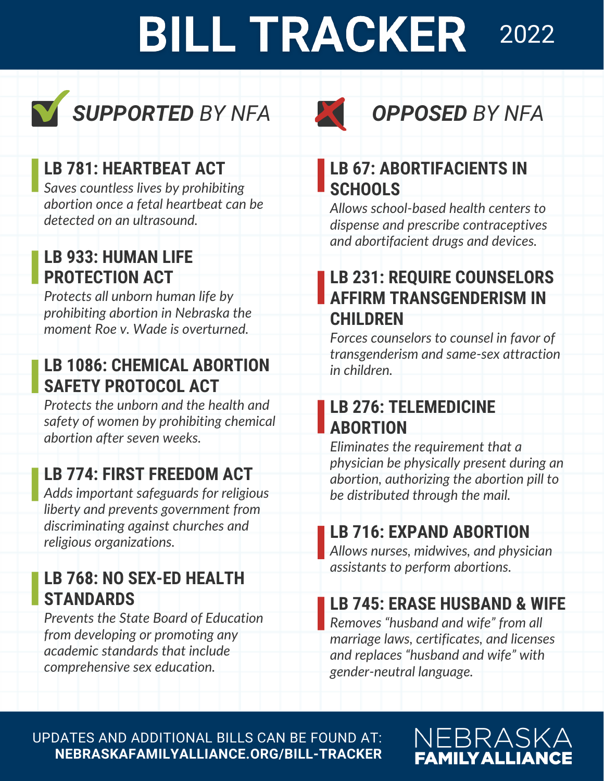### **BILL TRACKER** 2022





#### **LB 781: HEARTBEAT ACT**

*Saves countless lives by prohibiting abortion once a fetal heartbeat can be detected on an ultrasound.*

#### **LB 933: HUMAN LIFE PROTECTION ACT**

*Protects all unborn human life by prohibiting abortion in Nebraska the moment Roe v. Wade is overturned.*

#### **LB 1086: CHEMICAL ABORTION SAFETY PROTOCOL ACT**

*Protects the unborn and the health and safety of women by prohibiting chemical abortion after seven weeks.*

### **LB 774: FIRST FREEDOM ACT**

*Adds important safeguards for religious liberty and prevents government from discriminating against churches and religious organizations.*

#### **LB 768: NO SEX-ED HEALTH STANDARDS**

*Prevents the State Board of Education from developing or promoting any academic standards that include comprehensive sex education.*

#### **LB 67: ABORTIFACIENTS IN SCHOOLS**

*Allows school-based health centers to dispense and prescribe contraceptives and abortifacient drugs and devices.*

#### **LB 231: REQUIRE COUNSELORS AFFIRM TRANSGENDERISM IN CHILDREN**

*Forces counselors to counsel in favor of transgenderism and same-sex attraction in children.*

#### **LB 276: TELEMEDICINE ABORTION**

*Eliminates the requirement that a physician be physically present during an abortion, authorizing the abortion pill to be distributed through the mail.*

#### **LB 716: EXPAND ABORTION**

*Allows nurses, midwives, and physician assistants to perform abortions.*

#### **LB 745: ERASE HUSBAND & WIFE**

*Removes "husband and wife" from all marriage laws, certificates, and licenses and replaces "husband and wife" with gender-neutral language.*

UPDATES AND ADDITIONAL BILLS CAN BE FOUND AT: **NEBRASKAFAMILYALLIANCE.ORG/BILL-TRACKER**

#### NEBRASKA **FAMILY ALLIANCE**